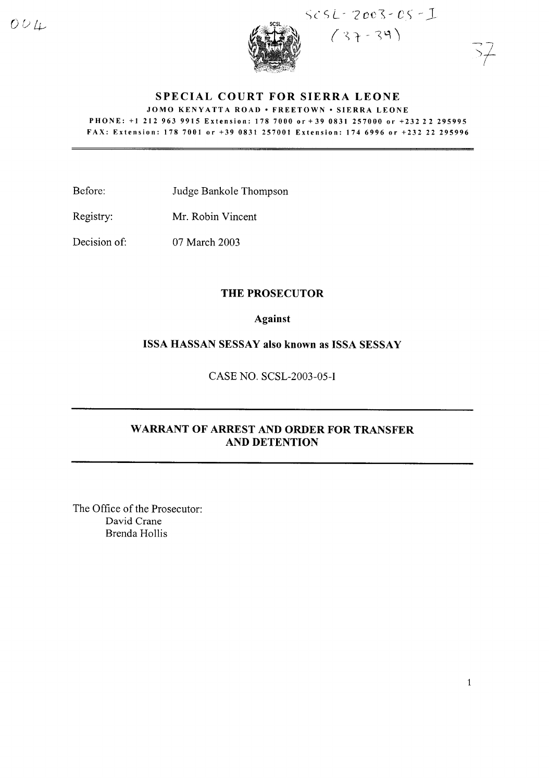$SCSL - 2003 - 0.5 - 1$ 



 $(37 - 39)$ 

# SPECIAL COURT FOR SIERRA LEONE

JOMO KENYATTA ROAD • FREETOWN • SIERRA LEONE PHONE: +12129639915 Extension: 1787000 or+39 0831257000 or +23222295995 FAX: Extension: 178 7001 or +39 0831257001 Extension: 1746996 or +232 22 295996

Before: Judge Bankole Thompson

Registry: Mr. Robin Vincent

Decision of: 07 March 2003

### THE PROSECUTOR

Against

ISSA HASSAN SESSAY also known as ISSA SESSAY

CASE NO. SCSL-2003-05-I

# WARRANT OF ARREST AND ORDER FOR TRANSFER AND DETENTION

The Office of the Prosecutor: David Crane Brenda Hollis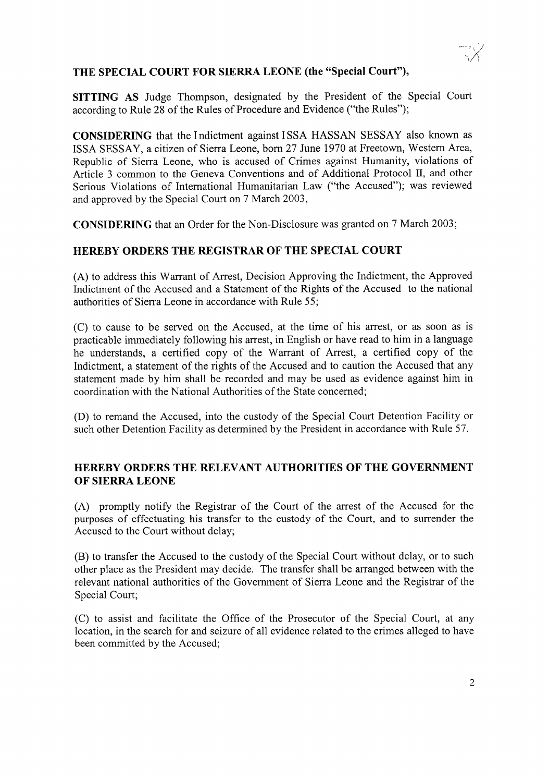### **THE SPECIAL COURT FOR SIERRA LEONE (the "Special Court"),**

**SITTING AS** Judge Thompson, designated by the President of the Special Court according to Rule 28 of the Rules of Procedure and Evidence ("the Rules");

**CONSIDERING** that the Indictment against I SSA HASSAN SESSAY also known as ISSA SESSAY, a citizen of Sierra Leone, born 27 June 1970 at Freetown, Western Area, Republic of Sierra Leone, who is accused of Crimes against Humanity, violations of Article 3 common to the Geneva Conventions and of Additional Protocol II, and other Serious Violations of International Humanitarian Law ("the Accused"); was reviewed and approved by the Special Court on 7 March 2003,

**CONSIDERING** that an Order for the Non-Disclosure was granted on 7 March 2003;

# **HEREBY ORDERS THE REGISTRAR OF THE SPECIAL COURT**

(A) to address this Warrant of Arrest, Decision Approving the Indictment, the Approved Indictment of the Accused and a Statement of the Rights of the Accused to the national authorities of Sierra Leone in accordance with Rule 55;

(C) to cause to be served on the Accused, at the time of his arrest, or as soon as is practicable immediately following his arrest, in English or have read to him in a language he understands, a certified copy of the Warrant of Arrest, a certified copy of the Indictment, a statement of the rights of the Accused and to caution the Accused that any statement made by him shall be recorded and may be used as evidence against him in coordination with the National Authorities of the State concerned;

(D) to remand the Accused, into the custody of the Special Court Detention Facility or such other Detention Facility as determined by the President in accordance with Rule 57.

### **HEREBY ORDERS THE RELEVANT AUTHORITIES OF THE GOVERNMENT OF SIERRA LEONE**

(A) promptly notify the Registrar of the Court of the arrest of the Accused for the purposes of effectuating his transfer to the custody of the Court, and to surrender the Accused to the Court without delay;

(B) to transfer the Accused to the custody of the Special Court without delay, or to such other place as the President may decide. The transfer shall be arranged between with the relevant national authorities of the Government of Sierra Leone and the Registrar of the Special Court;

(C) to assist and facilitate the Office of the Prosecutor of the Special Court, at any location, in the search for and seizure of all evidence related to the crimes alleged to have been committed by the Accused;